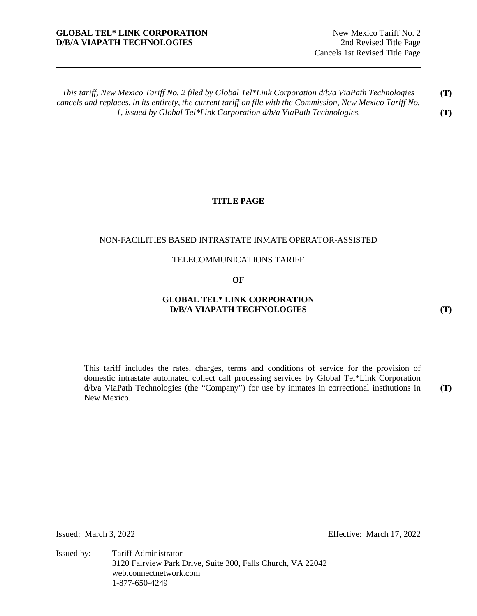# **GLOBAL TEL\* LINK CORPORATION** New Mexico Tariff No. 2 **D/B/A VIAPATH TECHNOLOGIES** 2nd Revised Title Page

*This tariff, New Mexico Tariff No. 2 filed by Global Tel\*Link Corporation d/b/a ViaPath Technologies cancels and replaces, in its entirety, the current tariff on file with the Commission, New Mexico Tariff No. 1, issued by Global Tel\*Link Corporation d/b/a ViaPath Technologies.*  **(T) (T)** 

# **TITLE PAGE**

### NON-FACILITIES BASED INTRASTATE INMATE OPERATOR-ASSISTED

#### TELECOMMUNICATIONS TARIFF

### **OF**

# **GLOBAL TEL\* LINK CORPORATION D/B/A VIAPATH TECHNOLOGIES**

This tariff includes the rates, charges, terms and conditions of service for the provision of domestic intrastate automated collect call processing services by Global Tel\*Link Corporation d/b/a ViaPath Technologies (the "Company") for use by inmates in correctional institutions in New Mexico. **(T)** 

**(T)** 

Issued: March 3, 2022 Effective: March 17, 2022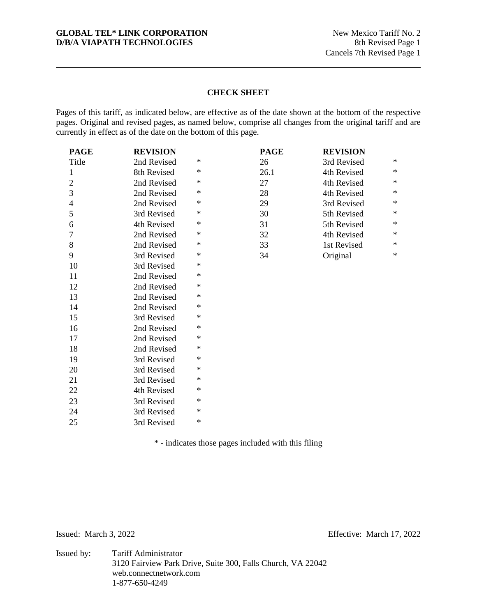# **GLOBAL TEL\* LINK CORPORATION** New Mexico Tariff No. 2<br> **D/B/A VIAPATH TECHNOLOGIES** 8th Revised Page 1 **D/B/A VIAPATH TECHNOLOGIES**

# **CHECK SHEET**

Pages of this tariff, as indicated below, are effective as of the date shown at the bottom of the respective pages. Original and revised pages, as named below, comprise all changes from the original tariff and are currently in effect as of the date on the bottom of this page.

| <b>PAGE</b>    | <b>REVISION</b> |        | <b>PAGE</b> | <b>REVISION</b> |        |
|----------------|-----------------|--------|-------------|-----------------|--------|
| Title          | 2nd Revised     | ∗      | 26          | 3rd Revised     | ∗      |
| $\mathbf{1}$   | 8th Revised     | $\ast$ | 26.1        | 4th Revised     | $\ast$ |
| $\overline{c}$ | 2nd Revised     | ∗      | 27          | 4th Revised     | $\ast$ |
| 3              | 2nd Revised     | ∗      | 28          | 4th Revised     | $\ast$ |
| $\overline{4}$ | 2nd Revised     | ∗      | 29          | 3rd Revised     | $\ast$ |
| 5              | 3rd Revised     | ∗      | 30          | 5th Revised     | ∗      |
| 6              | 4th Revised     | ∗      | 31          | 5th Revised     | $\ast$ |
| $\tau$         | 2nd Revised     | ∗      | 32          | 4th Revised     | $\ast$ |
| 8              | 2nd Revised     | ∗      | 33          | 1st Revised     | $\ast$ |
| 9              | 3rd Revised     | ∗      | 34          | Original        | $\ast$ |
| 10             | 3rd Revised     | ∗      |             |                 |        |
| 11             | 2nd Revised     | ∗      |             |                 |        |
| 12             | 2nd Revised     | ∗      |             |                 |        |
| 13             | 2nd Revised     | ∗      |             |                 |        |
| 14             | 2nd Revised     | ∗      |             |                 |        |
| 15             | 3rd Revised     | *      |             |                 |        |
| 16             | 2nd Revised     | ∗      |             |                 |        |
| 17             | 2nd Revised     | ∗      |             |                 |        |
| 18             | 2nd Revised     | ∗      |             |                 |        |
| 19             | 3rd Revised     | ∗      |             |                 |        |
| 20             | 3rd Revised     | ∗      |             |                 |        |
| 21             | 3rd Revised     | ∗      |             |                 |        |
| 22             | 4th Revised     | ∗      |             |                 |        |
| 23             | 3rd Revised     | ∗      |             |                 |        |
| 24             | 3rd Revised     | ∗      |             |                 |        |
| 25             | 3rd Revised     | $\ast$ |             |                 |        |

\* - indicates those pages included with this filing

Issued: March 3, 2022 Effective: March 17, 2022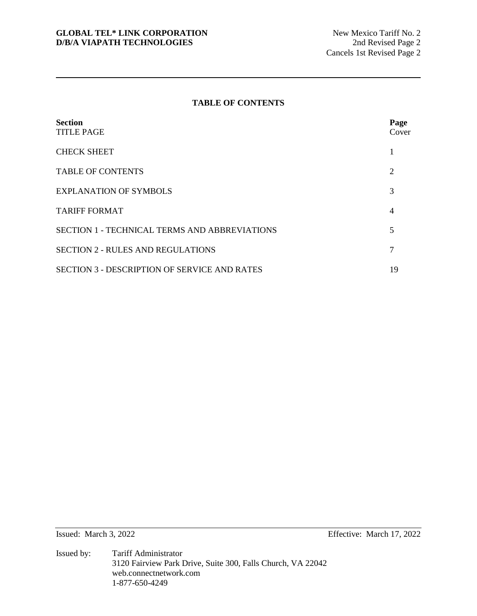# **TABLE OF CONTENTS**

| <b>Section</b><br><b>TITLE PAGE</b>                  | Page<br>Cover  |
|------------------------------------------------------|----------------|
| <b>CHECK SHEET</b>                                   |                |
| <b>TABLE OF CONTENTS</b>                             | $\overline{2}$ |
| <b>EXPLANATION OF SYMBOLS</b>                        | 3              |
| <b>TARIFF FORMAT</b>                                 | $\overline{4}$ |
| <b>SECTION 1 - TECHNICAL TERMS AND ABBREVIATIONS</b> | 5              |
| <b>SECTION 2 - RULES AND REGULATIONS</b>             | 7              |
| <b>SECTION 3 - DESCRIPTION OF SERVICE AND RATES</b>  | 19             |

Issued: March 3, 2022 Effective: March 17, 2022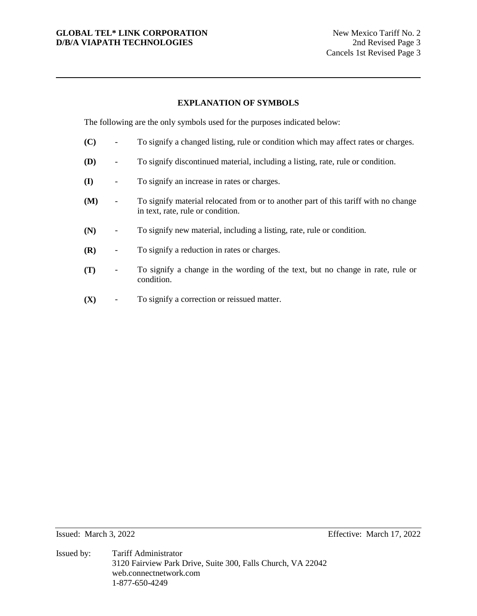# **GLOBAL TEL\* LINK CORPORATION** New Mexico Tariff No. 2 **D/B/A VIAPATH TECHNOLOGIES** 2nd Revised Page 3

# **EXPLANATION OF SYMBOLS**

The following are the only symbols used for the purposes indicated below:

- **(C)** To signify a changed listing, rule or condition which may affect rates or charges.
- **(D)** To signify discontinued material, including a listing, rate, rule or condition.
- **(I)** To signify an increase in rates or charges.
- **(M)** To signify material relocated from or to another part of this tariff with no change in text, rate, rule or condition.
- **(N)** To signify new material, including a listing, rate, rule or condition.
- **(R)** To signify a reduction in rates or charges.
- **(T)** To signify a change in the wording of the text, but no change in rate, rule or condition.
- **(X)** To signify a correction or reissued matter.

Issued: March 3, 2022 Effective: March 17, 2022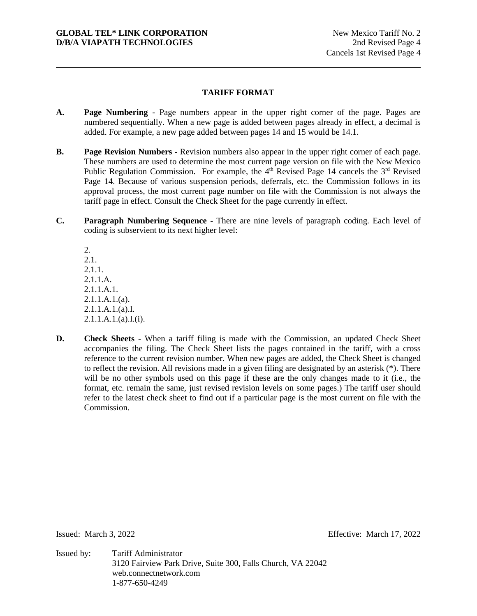# **TARIFF FORMAT**

- **A. Page Numbering** Page numbers appear in the upper right corner of the page. Pages are numbered sequentially. When a new page is added between pages already in effect, a decimal is added. For example, a new page added between pages 14 and 15 would be 14.1.
- **B. Page Revision Numbers Revision numbers also appear in the upper right corner of each page.** These numbers are used to determine the most current page version on file with the New Mexico Public Regulation Commission. For example, the  $4<sup>th</sup>$  Revised Page 14 cancels the  $3<sup>rd</sup>$  Revised Page 14. Because of various suspension periods, deferrals, etc. the Commission follows in its approval process, the most current page number on file with the Commission is not always the tariff page in effect. Consult the Check Sheet for the page currently in effect.
- **C. Paragraph Numbering Sequence** There are nine levels of paragraph coding. Each level of coding is subservient to its next higher level:

2. 2.1. 2.1.1. 2.1.1.A. 2.1.1.A.1.  $2.1.1.A.1.(a).$ 2.1.1.A.1.(a).I. 2.1.1.A.1.(a).I.(i).

**D. Check Sheets** - When a tariff filing is made with the Commission, an updated Check Sheet accompanies the filing. The Check Sheet lists the pages contained in the tariff, with a cross reference to the current revision number. When new pages are added, the Check Sheet is changed to reflect the revision. All revisions made in a given filing are designated by an asterisk (\*). There will be no other symbols used on this page if these are the only changes made to it (i.e., the format, etc. remain the same, just revised revision levels on some pages.) The tariff user should refer to the latest check sheet to find out if a particular page is the most current on file with the Commission.

Issued: March 3, 2022 Effective: March 17, 2022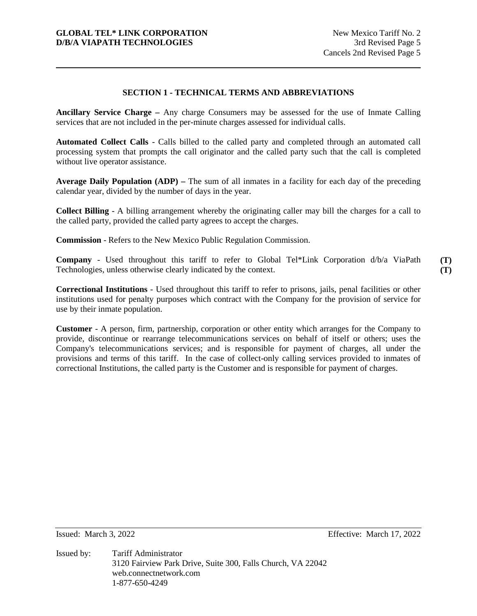# **SECTION 1 - TECHNICAL TERMS AND ABBREVIATIONS**

**Ancillary Service Charge –** Any charge Consumers may be assessed for the use of Inmate Calling services that are not included in the per-minute charges assessed for individual calls.

**Automated Collect Calls** - Calls billed to the called party and completed through an automated call processing system that prompts the call originator and the called party such that the call is completed without live operator assistance.

**Average Daily Population (ADP) –** The sum of all inmates in a facility for each day of the preceding calendar year, divided by the number of days in the year.

**Collect Billing** - A billing arrangement whereby the originating caller may bill the charges for a call to the called party, provided the called party agrees to accept the charges.

**Commission** - Refers to the New Mexico Public Regulation Commission.

**Company** - Used throughout this tariff to refer to Global Tel\*Link Corporation d/b/a ViaPath Technologies, unless otherwise clearly indicated by the context.

**(T) (T)** 

**Correctional Institutions** - Used throughout this tariff to refer to prisons, jails, penal facilities or other institutions used for penalty purposes which contract with the Company for the provision of service for use by their inmate population.

**Customer** - A person, firm, partnership, corporation or other entity which arranges for the Company to provide, discontinue or rearrange telecommunications services on behalf of itself or others; uses the Company's telecommunications services; and is responsible for payment of charges, all under the provisions and terms of this tariff. In the case of collect-only calling services provided to inmates of correctional Institutions, the called party is the Customer and is responsible for payment of charges.

Issued: March 3, 2022 Effective: March 17, 2022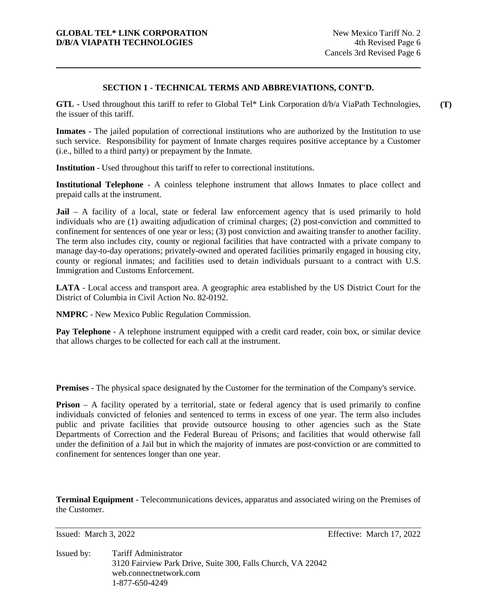# **SECTION 1 - TECHNICAL TERMS AND ABBREVIATIONS, CONT'D.**

**GTL** - Used throughout this tariff to refer to Global Tel\* Link Corporation d/b/a ViaPath Technologies, the issuer of this tariff. **(T)** 

**Inmates** - The jailed population of correctional institutions who are authorized by the Institution to use such service. Responsibility for payment of Inmate charges requires positive acceptance by a Customer (i.e., billed to a third party) or prepayment by the Inmate.

**Institution** - Used throughout this tariff to refer to correctional institutions.

**Institutional Telephone** - A coinless telephone instrument that allows Inmates to place collect and prepaid calls at the instrument.

**Jail** – A facility of a local, state or federal law enforcement agency that is used primarily to hold individuals who are (1) awaiting adjudication of criminal charges; (2) post-conviction and committed to confinement for sentences of one year or less; (3) post conviction and awaiting transfer to another facility. The term also includes city, county or regional facilities that have contracted with a private company to manage day-to-day operations; privately-owned and operated facilities primarily engaged in housing city, county or regional inmates; and facilities used to detain individuals pursuant to a contract with U.S. Immigration and Customs Enforcement.

**LATA** - Local access and transport area. A geographic area established by the US District Court for the District of Columbia in Civil Action No. 82-0192.

**NMPRC** - New Mexico Public Regulation Commission.

**Pay Telephone** - A telephone instrument equipped with a credit card reader, coin box, or similar device that allows charges to be collected for each call at the instrument.

**Premises** - The physical space designated by the Customer for the termination of the Company's service.

**Prison** – A facility operated by a territorial, state or federal agency that is used primarily to confine individuals convicted of felonies and sentenced to terms in excess of one year. The term also includes public and private facilities that provide outsource housing to other agencies such as the State Departments of Correction and the Federal Bureau of Prisons; and facilities that would otherwise fall under the definition of a Jail but in which the majority of inmates are post-conviction or are committed to confinement for sentences longer than one year.

**Terminal Equipment** - Telecommunications devices, apparatus and associated wiring on the Premises of the Customer.

Issued: March 3, 2022 Effective: March 17, 2022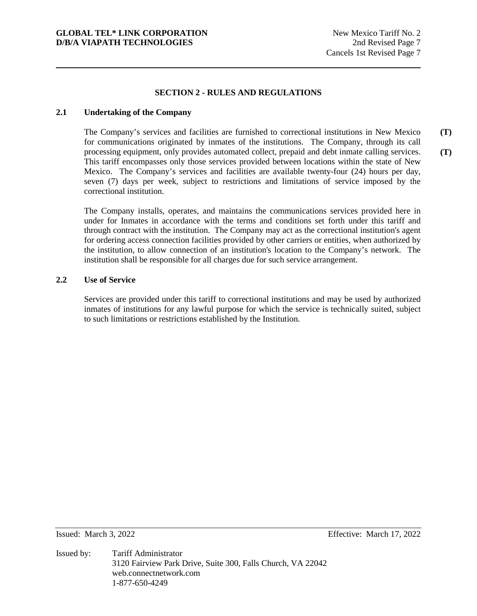# **SECTION 2 - RULES AND REGULATIONS**

### **2.1 Undertaking of the Company**

The Company's services and facilities are furnished to correctional institutions in New Mexico for communications originated by inmates of the institutions. The Company, through its call processing equipment, only provides automated collect, prepaid and debt inmate calling services. This tariff encompasses only those services provided between locations within the state of New Mexico. The Company's services and facilities are available twenty-four (24) hours per day, seven (7) days per week, subject to restrictions and limitations of service imposed by the correctional institution. **(T) (T)** 

The Company installs, operates, and maintains the communications services provided here in under for Inmates in accordance with the terms and conditions set forth under this tariff and through contract with the institution. The Company may act as the correctional institution's agent for ordering access connection facilities provided by other carriers or entities, when authorized by the institution, to allow connection of an institution's location to the Company's network. The institution shall be responsible for all charges due for such service arrangement.

#### **2.2 Use of Service**

Services are provided under this tariff to correctional institutions and may be used by authorized inmates of institutions for any lawful purpose for which the service is technically suited, subject to such limitations or restrictions established by the Institution.

Issued: March 3, 2022 Effective: March 17, 2022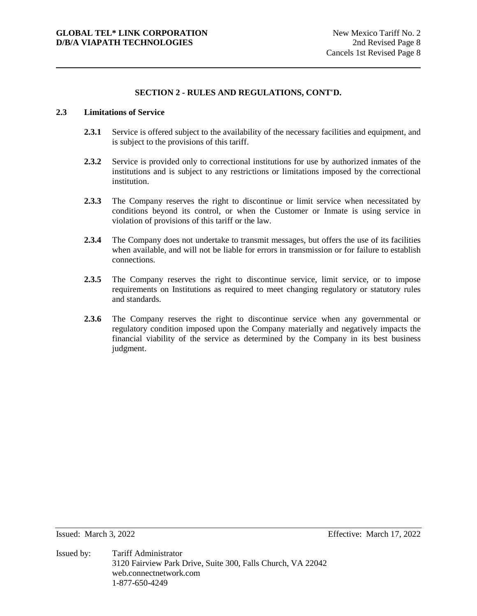# **2.3 Limitations of Service**

- **2.3.1** Service is offered subject to the availability of the necessary facilities and equipment, and is subject to the provisions of this tariff.
- **2.3.2** Service is provided only to correctional institutions for use by authorized inmates of the institutions and is subject to any restrictions or limitations imposed by the correctional institution.
- **2.3.3** The Company reserves the right to discontinue or limit service when necessitated by conditions beyond its control, or when the Customer or Inmate is using service in violation of provisions of this tariff or the law.
- **2.3.4** The Company does not undertake to transmit messages, but offers the use of its facilities when available, and will not be liable for errors in transmission or for failure to establish connections.
- 2.3.5 The Company reserves the right to discontinue service, limit service, or to impose requirements on Institutions as required to meet changing regulatory or statutory rules and standards.
- **2.3.6** The Company reserves the right to discontinue service when any governmental or regulatory condition imposed upon the Company materially and negatively impacts the financial viability of the service as determined by the Company in its best business judgment.

Issued: March 3, 2022 Effective: March 17, 2022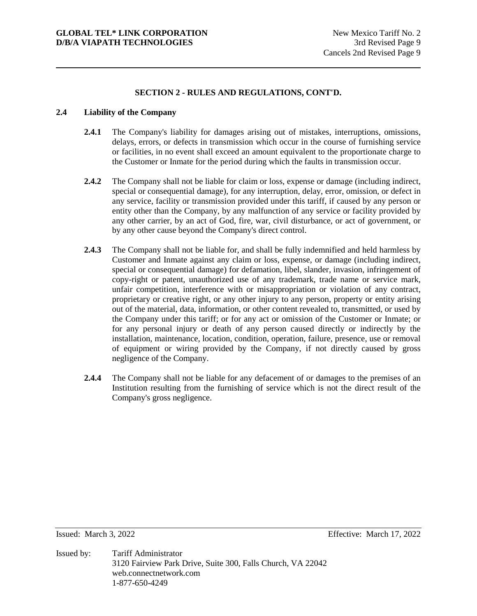# **2.4 Liability of the Company**

- **2.4.1** The Company's liability for damages arising out of mistakes, interruptions, omissions, delays, errors, or defects in transmission which occur in the course of furnishing service or facilities, in no event shall exceed an amount equivalent to the proportionate charge to the Customer or Inmate for the period during which the faults in transmission occur.
- **2.4.2** The Company shall not be liable for claim or loss, expense or damage (including indirect, special or consequential damage), for any interruption, delay, error, omission, or defect in any service, facility or transmission provided under this tariff, if caused by any person or entity other than the Company, by any malfunction of any service or facility provided by any other carrier, by an act of God, fire, war, civil disturbance, or act of government, or by any other cause beyond the Company's direct control.
- **2.4.3** The Company shall not be liable for, and shall be fully indemnified and held harmless by Customer and Inmate against any claim or loss, expense, or damage (including indirect, special or consequential damage) for defamation, libel, slander, invasion, infringement of copy-right or patent, unauthorized use of any trademark, trade name or service mark, unfair competition, interference with or misappropriation or violation of any contract, proprietary or creative right, or any other injury to any person, property or entity arising out of the material, data, information, or other content revealed to, transmitted, or used by the Company under this tariff; or for any act or omission of the Customer or Inmate; or for any personal injury or death of any person caused directly or indirectly by the installation, maintenance, location, condition, operation, failure, presence, use or removal of equipment or wiring provided by the Company, if not directly caused by gross negligence of the Company.
- **2.4.4** The Company shall not be liable for any defacement of or damages to the premises of an Institution resulting from the furnishing of service which is not the direct result of the Company's gross negligence.

Issued: March 3, 2022 Effective: March 17, 2022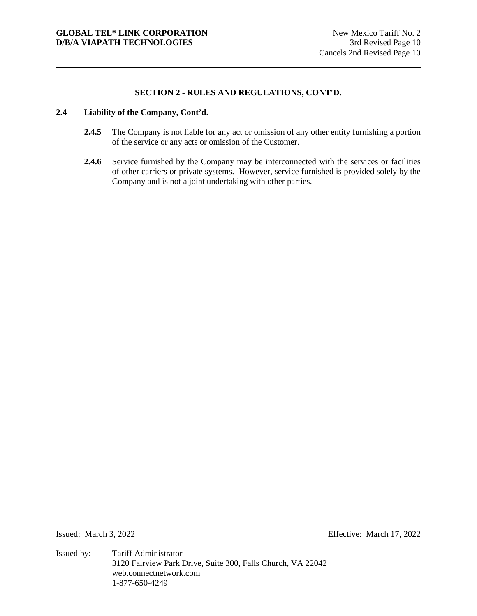# **2.4 Liability of the Company, Cont'd.**

- **2.4.5** The Company is not liable for any act or omission of any other entity furnishing a portion of the service or any acts or omission of the Customer.
- 2.4.6 Service furnished by the Company may be interconnected with the services or facilities of other carriers or private systems. However, service furnished is provided solely by the Company and is not a joint undertaking with other parties.

Issued: March 3, 2022 Effective: March 17, 2022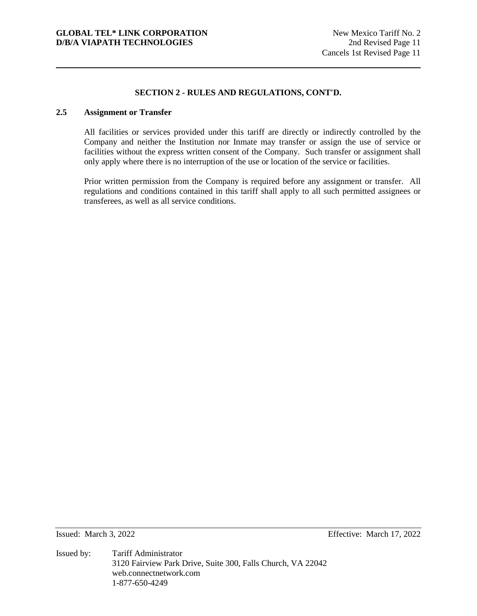# **2.5 Assignment or Transfer**

All facilities or services provided under this tariff are directly or indirectly controlled by the Company and neither the Institution nor Inmate may transfer or assign the use of service or facilities without the express written consent of the Company. Such transfer or assignment shall only apply where there is no interruption of the use or location of the service or facilities.

Prior written permission from the Company is required before any assignment or transfer. All regulations and conditions contained in this tariff shall apply to all such permitted assignees or transferees, as well as all service conditions.

Issued: March 3, 2022 Effective: March 17, 2022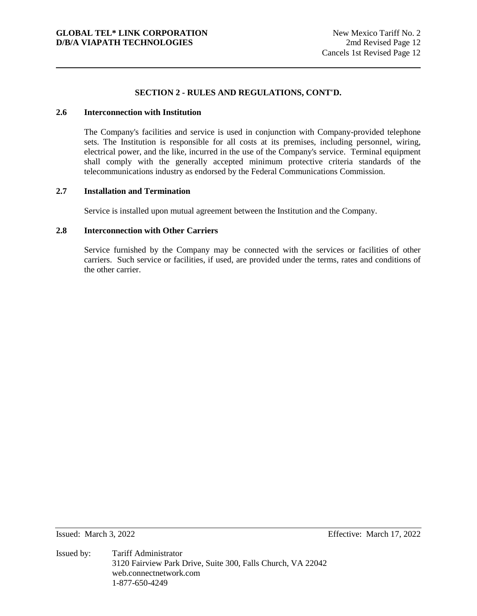# **2.6 Interconnection with Institution**

The Company's facilities and service is used in conjunction with Company-provided telephone sets. The Institution is responsible for all costs at its premises, including personnel, wiring, electrical power, and the like, incurred in the use of the Company's service. Terminal equipment shall comply with the generally accepted minimum protective criteria standards of the telecommunications industry as endorsed by the Federal Communications Commission.

#### **2.7 Installation and Termination**

Service is installed upon mutual agreement between the Institution and the Company.

#### **2.8 Interconnection with Other Carriers**

Service furnished by the Company may be connected with the services or facilities of other carriers. Such service or facilities, if used, are provided under the terms, rates and conditions of the other carrier.

Issued: March 3, 2022 Effective: March 17, 2022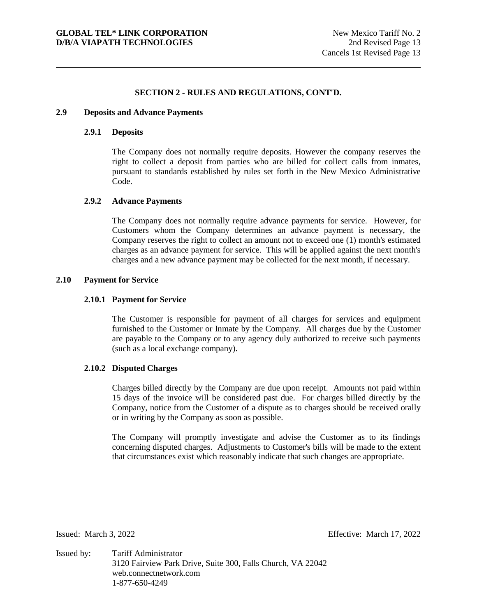# **2.9 Deposits and Advance Payments**

# **2.9.1 Deposits**

The Company does not normally require deposits. However the company reserves the right to collect a deposit from parties who are billed for collect calls from inmates, pursuant to standards established by rules set forth in the New Mexico Administrative Code.

#### **2.9.2 Advance Payments**

The Company does not normally require advance payments for service. However, for Customers whom the Company determines an advance payment is necessary, the Company reserves the right to collect an amount not to exceed one (1) month's estimated charges as an advance payment for service. This will be applied against the next month's charges and a new advance payment may be collected for the next month, if necessary.

#### **2.10 Payment for Service**

#### **2.10.1 Payment for Service**

The Customer is responsible for payment of all charges for services and equipment furnished to the Customer or Inmate by the Company. All charges due by the Customer are payable to the Company or to any agency duly authorized to receive such payments (such as a local exchange company).

# **2.10.2 Disputed Charges**

Charges billed directly by the Company are due upon receipt. Amounts not paid within 15 days of the invoice will be considered past due. For charges billed directly by the Company, notice from the Customer of a dispute as to charges should be received orally or in writing by the Company as soon as possible.

The Company will promptly investigate and advise the Customer as to its findings concerning disputed charges. Adjustments to Customer's bills will be made to the extent that circumstances exist which reasonably indicate that such changes are appropriate.

Issued: March 3, 2022 Effective: March 17, 2022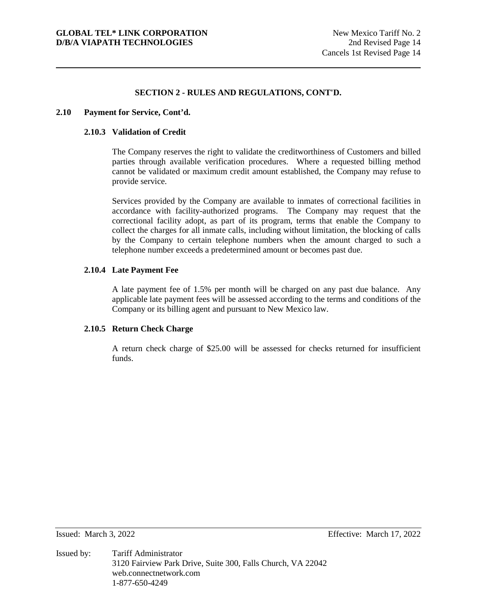#### **2.10 Payment for Service, Cont'd.**

# **2.10.3 Validation of Credit**

The Company reserves the right to validate the creditworthiness of Customers and billed parties through available verification procedures. Where a requested billing method cannot be validated or maximum credit amount established, the Company may refuse to provide service.

Services provided by the Company are available to inmates of correctional facilities in accordance with facility-authorized programs. The Company may request that the correctional facility adopt, as part of its program, terms that enable the Company to collect the charges for all inmate calls, including without limitation, the blocking of calls by the Company to certain telephone numbers when the amount charged to such a telephone number exceeds a predetermined amount or becomes past due.

### **2.10.4 Late Payment Fee**

A late payment fee of 1.5% per month will be charged on any past due balance. Any applicable late payment fees will be assessed according to the terms and conditions of the Company or its billing agent and pursuant to New Mexico law.

# **2.10.5 Return Check Charge**

A return check charge of \$25.00 will be assessed for checks returned for insufficient funds.

Issued: March 3, 2022 Effective: March 17, 2022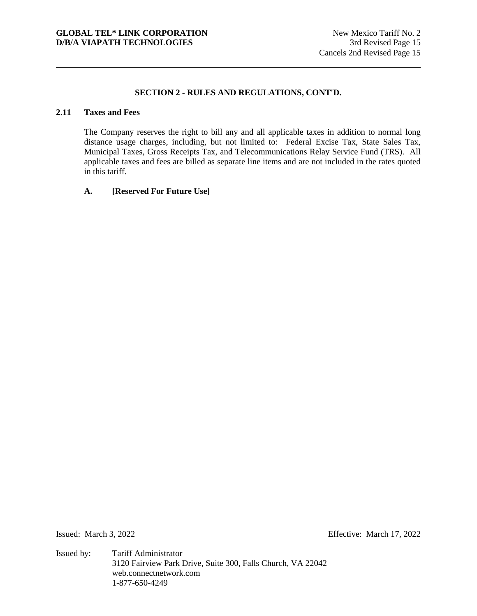# **2.11 Taxes and Fees**

The Company reserves the right to bill any and all applicable taxes in addition to normal long distance usage charges, including, but not limited to: Federal Excise Tax, State Sales Tax, Municipal Taxes, Gross Receipts Tax, and Telecommunications Relay Service Fund (TRS). All applicable taxes and fees are billed as separate line items and are not included in the rates quoted in this tariff.

### **A. [Reserved For Future Use]**

Issued: March 3, 2022 Effective: March 17, 2022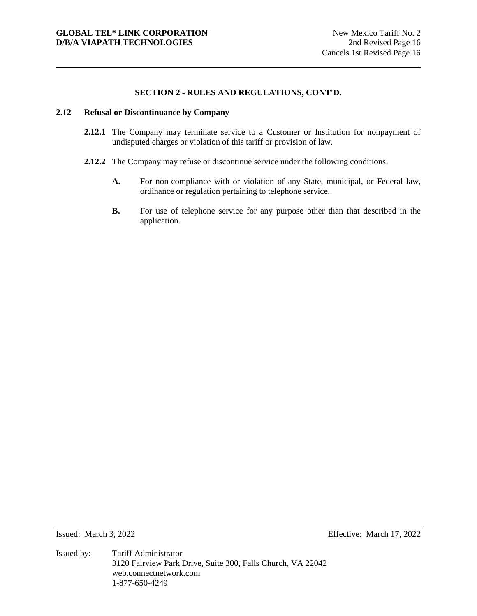### **2.12 Refusal or Discontinuance by Company**

- **2.12.1** The Company may terminate service to a Customer or Institution for nonpayment of undisputed charges or violation of this tariff or provision of law.
- **2.12.2** The Company may refuse or discontinue service under the following conditions:
	- **A.** For non-compliance with or violation of any State, municipal, or Federal law, ordinance or regulation pertaining to telephone service.
	- **B.** For use of telephone service for any purpose other than that described in the application.

Issued: March 3, 2022 Effective: March 17, 2022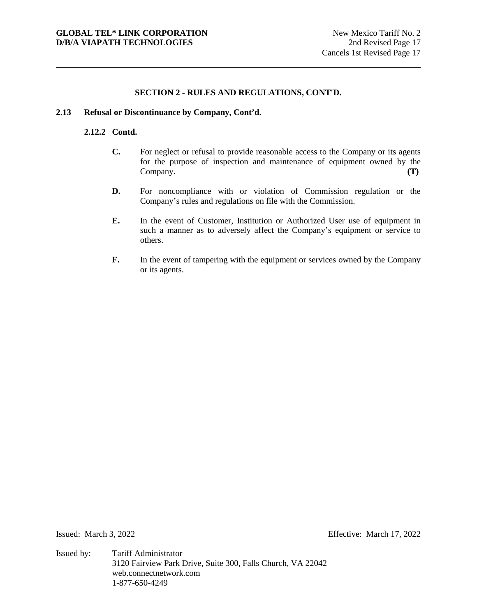### **2.13 Refusal or Discontinuance by Company, Cont'd.**

# **2.12.2 Contd.**

- **C.** For neglect or refusal to provide reasonable access to the Company or its agents for the purpose of inspection and maintenance of equipment owned by the Company. **(T)**
- **D.** For noncompliance with or violation of Commission regulation or the Company's rules and regulations on file with the Commission.
- **E.** In the event of Customer, Institution or Authorized User use of equipment in such a manner as to adversely affect the Company's equipment or service to others.
- **F.** In the event of tampering with the equipment or services owned by the Company or its agents.

Issued: March 3, 2022 Effective: March 17, 2022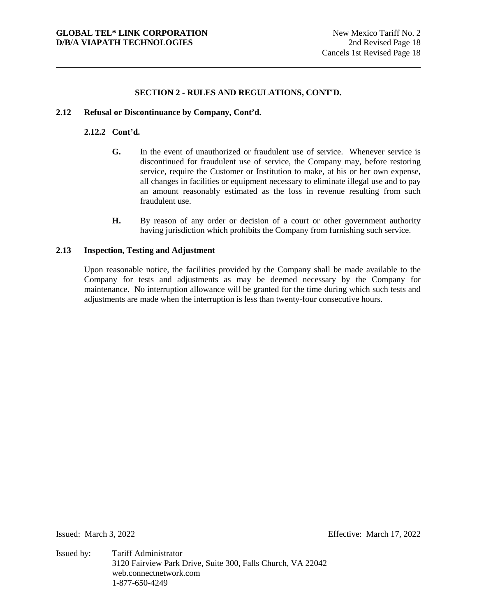# **2.12 Refusal or Discontinuance by Company, Cont'd.**

# **2.12.2 Cont'd.**

- **G.** In the event of unauthorized or fraudulent use of service. Whenever service is discontinued for fraudulent use of service, the Company may, before restoring service, require the Customer or Institution to make, at his or her own expense, all changes in facilities or equipment necessary to eliminate illegal use and to pay an amount reasonably estimated as the loss in revenue resulting from such fraudulent use.
- **H.** By reason of any order or decision of a court or other government authority having jurisdiction which prohibits the Company from furnishing such service.

# **2.13 Inspection, Testing and Adjustment**

Upon reasonable notice, the facilities provided by the Company shall be made available to the Company for tests and adjustments as may be deemed necessary by the Company for maintenance. No interruption allowance will be granted for the time during which such tests and adjustments are made when the interruption is less than twenty-four consecutive hours.

Issued: March 3, 2022 Effective: March 17, 2022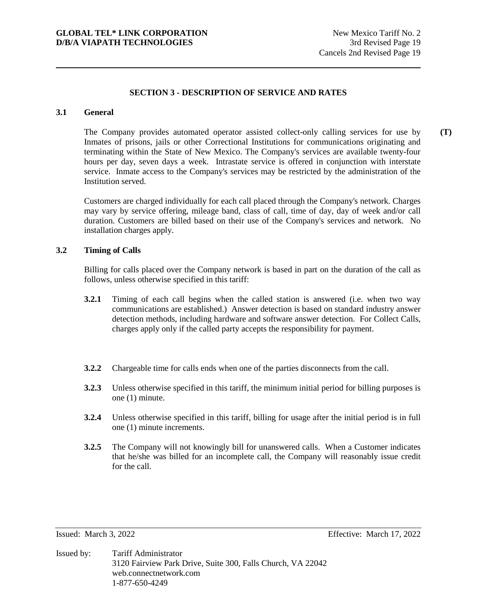#### **3.1 General**

The Company provides automated operator assisted collect-only calling services for use by Inmates of prisons, jails or other Correctional Institutions for communications originating and terminating within the State of New Mexico. The Company's services are available twenty-four hours per day, seven days a week. Intrastate service is offered in conjunction with interstate service. Inmate access to the Company's services may be restricted by the administration of the Institution served.

Customers are charged individually for each call placed through the Company's network. Charges may vary by service offering, mileage band, class of call, time of day, day of week and/or call duration. Customers are billed based on their use of the Company's services and network. No installation charges apply.

#### **3.2 Timing of Calls**

Billing for calls placed over the Company network is based in part on the duration of the call as follows, unless otherwise specified in this tariff:

- **3.2.1** Timing of each call begins when the called station is answered (i.e. when two way communications are established.) Answer detection is based on standard industry answer detection methods, including hardware and software answer detection. For Collect Calls, charges apply only if the called party accepts the responsibility for payment.
- **3.2.2** Chargeable time for calls ends when one of the parties disconnects from the call.
- **3.2.3** Unless otherwise specified in this tariff, the minimum initial period for billing purposes is one (1) minute.
- **3.2.4** Unless otherwise specified in this tariff, billing for usage after the initial period is in full one (1) minute increments.
- **3.2.5** The Company will not knowingly bill for unanswered calls. When a Customer indicates that he/she was billed for an incomplete call, the Company will reasonably issue credit for the call.

Issued: March 3, 2022 Effective: March 17, 2022

Issued by: Tariff Administrator 3120 Fairview Park Drive, Suite 300, Falls Church, VA 22042 web.connectnetwork.com 1-877-650-4249

**(T)**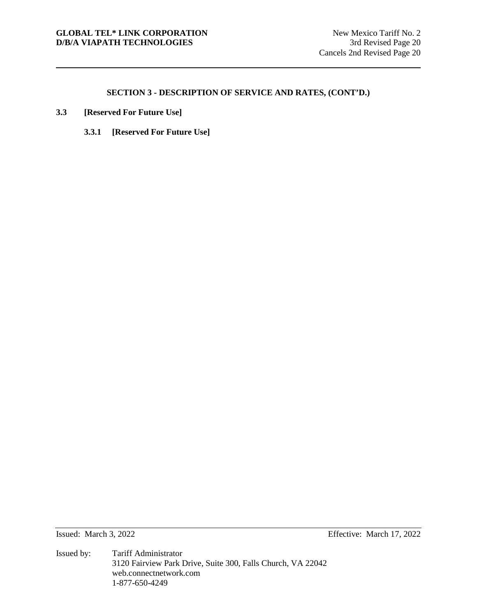- **3.3 [Reserved For Future Use]**
	- **3.3.1 [Reserved For Future Use]**

Issued: March 3, 2022 Effective: March 17, 2022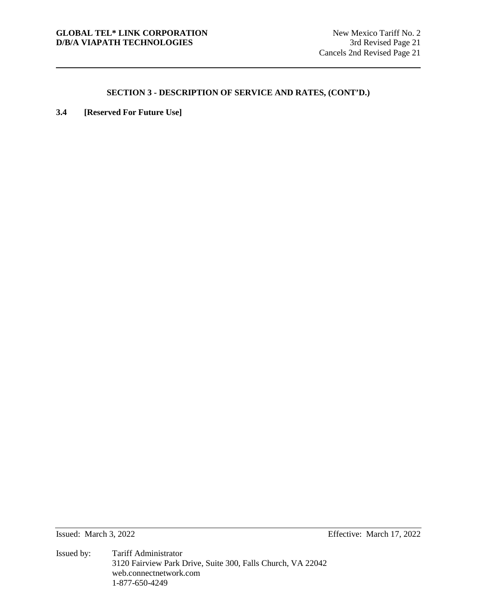**3.4 [Reserved For Future Use]**

Issued: March 3, 2022 Effective: March 17, 2022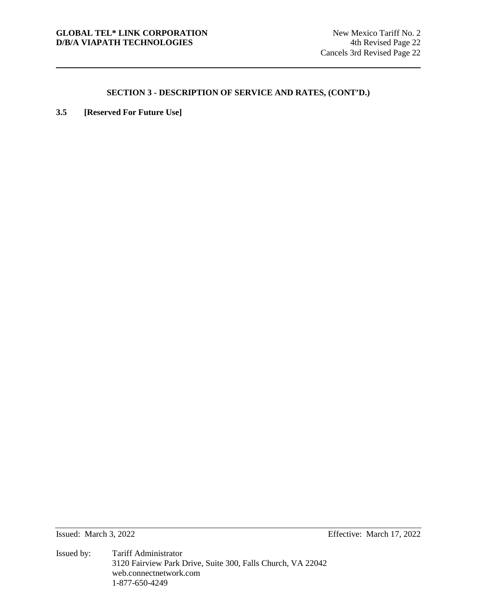**3.5 [Reserved For Future Use]** 

Issued: March 3, 2022 Effective: March 17, 2022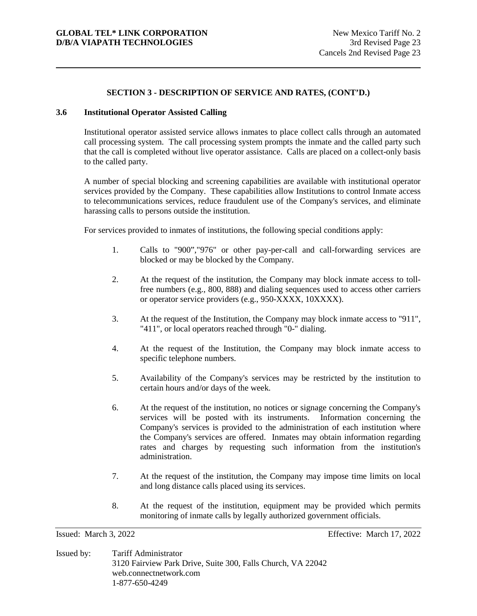# **3.6 Institutional Operator Assisted Calling**

Institutional operator assisted service allows inmates to place collect calls through an automated call processing system. The call processing system prompts the inmate and the called party such that the call is completed without live operator assistance. Calls are placed on a collect-only basis to the called party.

A number of special blocking and screening capabilities are available with institutional operator services provided by the Company. These capabilities allow Institutions to control Inmate access to telecommunications services, reduce fraudulent use of the Company's services, and eliminate harassing calls to persons outside the institution.

For services provided to inmates of institutions, the following special conditions apply:

- 1. Calls to "900","976" or other pay-per-call and call-forwarding services are blocked or may be blocked by the Company.
- 2. At the request of the institution, the Company may block inmate access to tollfree numbers (e.g., 800, 888) and dialing sequences used to access other carriers or operator service providers (e.g., 950-XXXX, 10XXXX).
- 3. At the request of the Institution, the Company may block inmate access to "911", "411", or local operators reached through "0-" dialing.
- 4. At the request of the Institution, the Company may block inmate access to specific telephone numbers.
- 5. Availability of the Company's services may be restricted by the institution to certain hours and/or days of the week.
- 6. At the request of the institution, no notices or signage concerning the Company's services will be posted with its instruments. Information concerning the Company's services is provided to the administration of each institution where the Company's services are offered. Inmates may obtain information regarding rates and charges by requesting such information from the institution's administration.
- 7. At the request of the institution, the Company may impose time limits on local and long distance calls placed using its services.
- 8. At the request of the institution, equipment may be provided which permits monitoring of inmate calls by legally authorized government officials.

Issued: March 3, 2022 Effective: March 17, 2022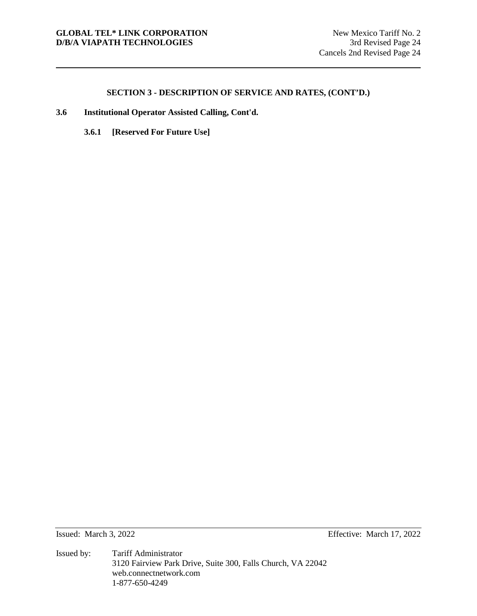- **3.6 Institutional Operator Assisted Calling, Cont'd.** 
	- **3.6.1 [Reserved For Future Use]**

Issued: March 3, 2022 Effective: March 17, 2022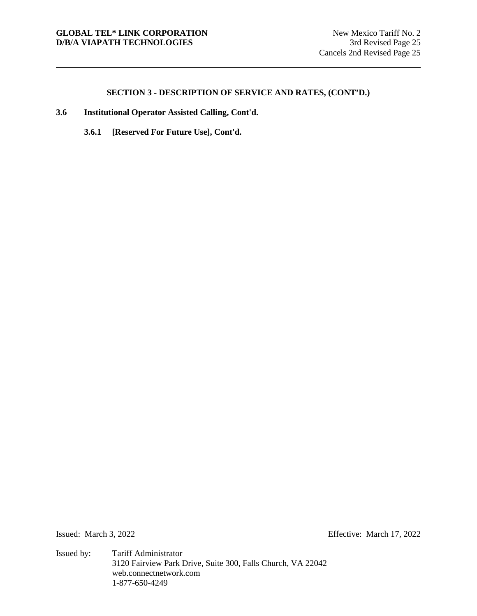- **3.6 Institutional Operator Assisted Calling, Cont'd.**
	- **3.6.1 [Reserved For Future Use], Cont'd.**

Issued: March 3, 2022 Effective: March 17, 2022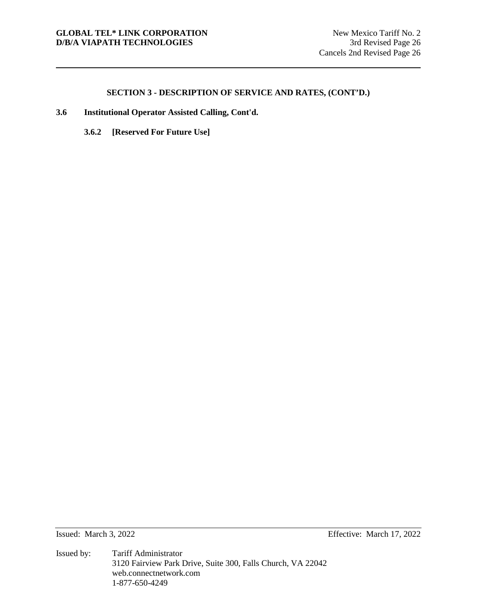- **3.6 Institutional Operator Assisted Calling, Cont'd.** 
	- **3.6.2 [Reserved For Future Use]**

Issued: March 3, 2022 Effective: March 17, 2022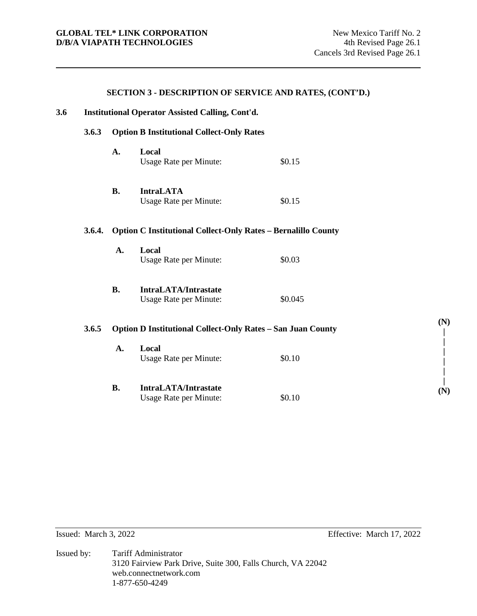# **3.6 Institutional Operator Assisted Calling, Cont'd. 3.6.3 Option B Institutional Collect-Only Rates A. Local**  Usage Rate per Minute:  $$0.15$ **B. IntraLATA**  Usage Rate per Minute:  $$0.15$ **3.6.4. Option C Institutional Collect-Only Rates – Bernalillo County A. Local**  Usage Rate per Minute:  $$0.03$ **B. IntraLATA/Intrastate**  Usage Rate per Minute:  $$0.045$ **3.6.5 Option D Institutional Collect-Only Rates – San Juan County A. Local**  Usage Rate per Minute:  $$0.10$ **B. IntraLATA/Intrastate**  Usage Rate per Minute:  $$0.10$

**SECTION 3 - DESCRIPTION OF SERVICE AND RATES, (CONT'D.)**

Issued: March 3, 2022 Effective: March 17, 2022

**(N) | | | | | | (N)**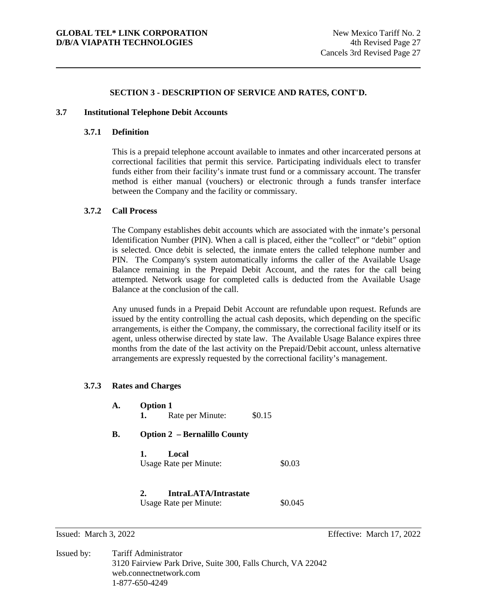#### **3.7 Institutional Telephone Debit Accounts**

# **3.7.1 Definition**

This is a prepaid telephone account available to inmates and other incarcerated persons at correctional facilities that permit this service. Participating individuals elect to transfer funds either from their facility's inmate trust fund or a commissary account. The transfer method is either manual (vouchers) or electronic through a funds transfer interface between the Company and the facility or commissary.

#### **3.7.2 Call Process**

The Company establishes debit accounts which are associated with the inmate's personal Identification Number (PIN). When a call is placed, either the "collect" or "debit" option is selected. Once debit is selected, the inmate enters the called telephone number and PIN. The Company's system automatically informs the caller of the Available Usage Balance remaining in the Prepaid Debit Account, and the rates for the call being attempted. Network usage for completed calls is deducted from the Available Usage Balance at the conclusion of the call.

Any unused funds in a Prepaid Debit Account are refundable upon request. Refunds are issued by the entity controlling the actual cash deposits, which depending on the specific arrangements, is either the Company, the commissary, the correctional facility itself or its agent, unless otherwise directed by state law. The Available Usage Balance expires three months from the date of the last activity on the Prepaid/Debit account, unless alternative arrangements are expressly requested by the correctional facility's management.

#### **3.7.3 Rates and Charges**

| A. | <b>Option 1</b><br>1.<br>Rate per Minute:            | \$0.15  |  |  |  |
|----|------------------------------------------------------|---------|--|--|--|
| В. | <b>Option 2 – Bernalillo County</b>                  |         |  |  |  |
|    | Local<br>1.<br>Usage Rate per Minute:                | \$0.03  |  |  |  |
|    | IntraLATA/Intrastate<br>2.<br>Usage Rate per Minute: | \$0.045 |  |  |  |

Issued: March 3, 2022 Effective: March 17, 2022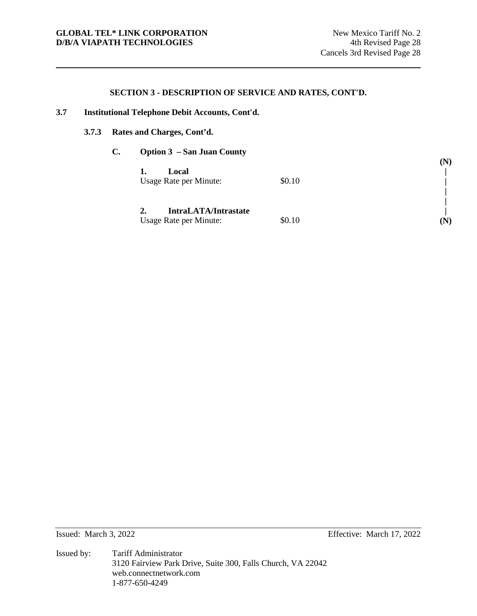# **3.7 Institutional Telephone Debit Accounts, Cont'd.**

# **3.7.3 Rates and Charges, Cont'd.**

| $\mathbf{C}$ . | <b>Option 3 – San Juan County</b> |        |     |
|----------------|-----------------------------------|--------|-----|
|                |                                   |        | (N) |
|                | Local                             |        |     |
|                | Usage Rate per Minute:            | \$0.10 |     |
|                |                                   |        |     |
|                |                                   |        |     |
|                | <b>IntraLATA/Intrastate</b>       |        |     |
|                | Usage Rate per Minute:            | \$0.10 | (N) |
|                |                                   |        |     |

Issued: March 3, 2022 Effective: March 17, 2022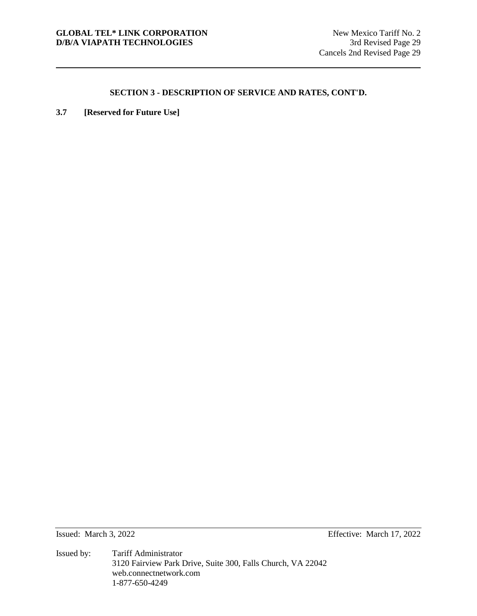**3.7 [Reserved for Future Use]**

Issued: March 3, 2022 Effective: March 17, 2022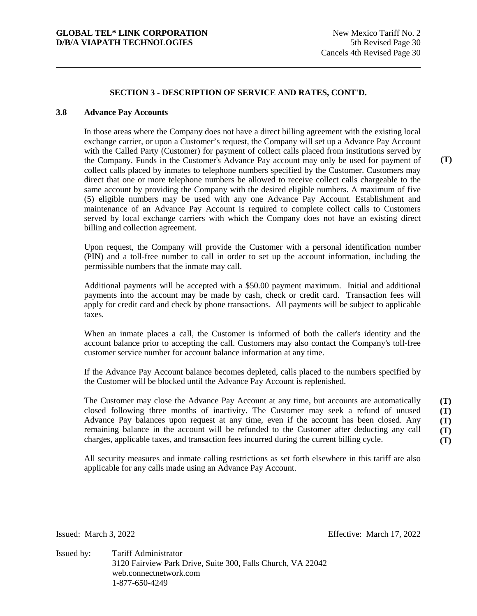### **3.8 Advance Pay Accounts**

In those areas where the Company does not have a direct billing agreement with the existing local exchange carrier, or upon a Customer's request, the Company will set up a Advance Pay Account with the Called Party (Customer) for payment of collect calls placed from institutions served by the Company. Funds in the Customer's Advance Pay account may only be used for payment of collect calls placed by inmates to telephone numbers specified by the Customer. Customers may direct that one or more telephone numbers be allowed to receive collect calls chargeable to the same account by providing the Company with the desired eligible numbers. A maximum of five (5) eligible numbers may be used with any one Advance Pay Account. Establishment and maintenance of an Advance Pay Account is required to complete collect calls to Customers served by local exchange carriers with which the Company does not have an existing direct billing and collection agreement.

Upon request, the Company will provide the Customer with a personal identification number (PIN) and a toll-free number to call in order to set up the account information, including the permissible numbers that the inmate may call.

Additional payments will be accepted with a \$50.00 payment maximum. Initial and additional payments into the account may be made by cash, check or credit card. Transaction fees will apply for credit card and check by phone transactions. All payments will be subject to applicable taxes.

When an inmate places a call, the Customer is informed of both the caller's identity and the account balance prior to accepting the call. Customers may also contact the Company's toll-free customer service number for account balance information at any time.

If the Advance Pay Account balance becomes depleted, calls placed to the numbers specified by the Customer will be blocked until the Advance Pay Account is replenished.

The Customer may close the Advance Pay Account at any time, but accounts are automatically closed following three months of inactivity. The Customer may seek a refund of unused Advance Pay balances upon request at any time, even if the account has been closed. Any remaining balance in the account will be refunded to the Customer after deducting any call charges, applicable taxes, and transaction fees incurred during the current billing cycle. **(T) (T) (T) (T) (T)** 

All security measures and inmate calling restrictions as set forth elsewhere in this tariff are also applicable for any calls made using an Advance Pay Account.

Issued: March 3, 2022 Effective: March 17, 2022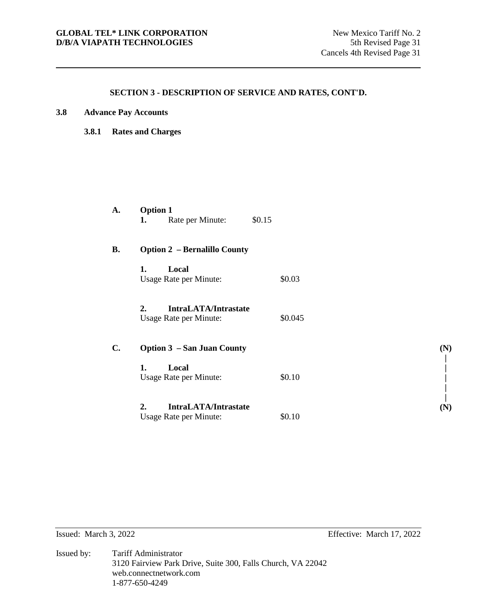| 3.8 |  | <b>Advance Pay Accounts</b> |
|-----|--|-----------------------------|
|     |  |                             |

**3.8.1 Rates and Charges** 

| A.             | <b>Option 1</b><br>Rate per Minute:<br>1.                   | \$0.15  |     |
|----------------|-------------------------------------------------------------|---------|-----|
| <b>B.</b>      | <b>Option 2 - Bernalillo County</b>                         |         |     |
|                | Local<br>1.<br>Usage Rate per Minute:                       | \$0.03  |     |
|                | 2.<br><b>IntraLATA/Intrastate</b><br>Usage Rate per Minute: | \$0.045 |     |
| $\mathbf{C}$ . | <b>Option 3 – San Juan County</b>                           |         | (N) |
|                | 1.<br>Local<br>Usage Rate per Minute:                       | \$0.10  |     |
|                | 2.<br><b>IntraLATA/Intrastate</b><br>Usage Rate per Minute: | \$0.10  | (N) |

Issued: March 3, 2022 Effective: March 17, 2022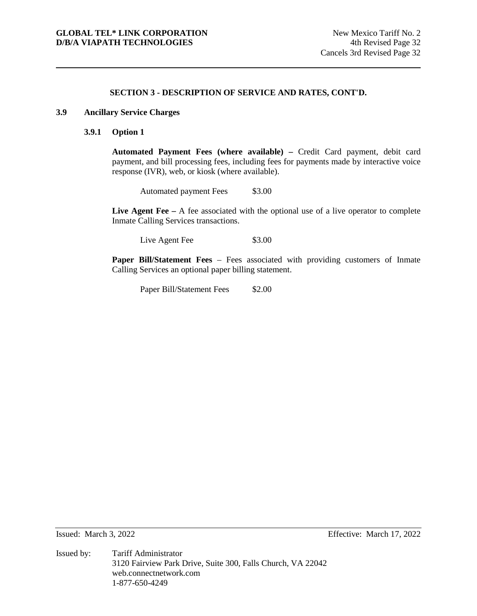# **3.9 Ancillary Service Charges**

# **3.9.1 Option 1**

**Automated Payment Fees (where available) –** Credit Card payment, debit card payment, and bill processing fees, including fees for payments made by interactive voice response (IVR), web, or kiosk (where available).

Automated payment Fees \$3.00

Live Agent Fee – A fee associated with the optional use of a live operator to complete Inmate Calling Services transactions.

Live Agent Fee \$3.00

**Paper Bill/Statement Fees** – Fees associated with providing customers of Inmate Calling Services an optional paper billing statement.

Paper Bill/Statement Fees \$2.00

Issued: March 3, 2022 Effective: March 17, 2022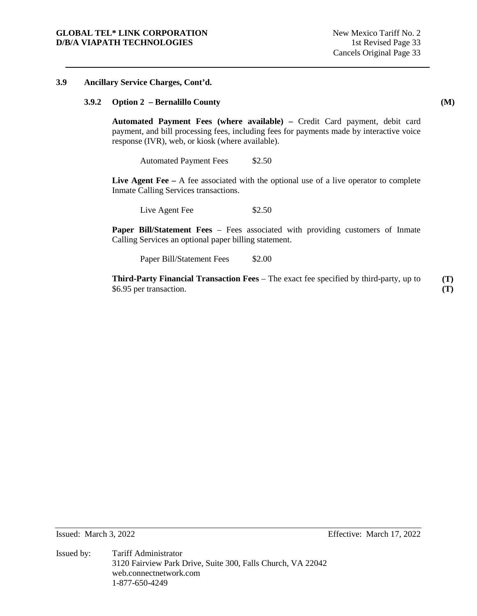#### **3.9 Ancillary Service Charges, Cont'd.**

### **3.9.2 Option 2 – Bernalillo County**

**Automated Payment Fees (where available) –** Credit Card payment, debit card payment, and bill processing fees, including fees for payments made by interactive voice response (IVR), web, or kiosk (where available).

Automated Payment Fees \$2.50

Live Agent Fee – A fee associated with the optional use of a live operator to complete Inmate Calling Services transactions.

Live Agent Fee \$2.50

**Paper Bill/Statement Fees** – Fees associated with providing customers of Inmate Calling Services an optional paper billing statement.

Paper Bill/Statement Fees \$2.00

**Third-Party Financial Transaction Fees** – The exact fee specified by third-party, up to \$6.95 per transaction. **(T) (T)** 

Issued: March 3, 2022 Effective: March 17, 2022

**(M)** 

Issued by: Tariff Administrator 3120 Fairview Park Drive, Suite 300, Falls Church, VA 22042 web.connectnetwork.com 1-877-650-4249